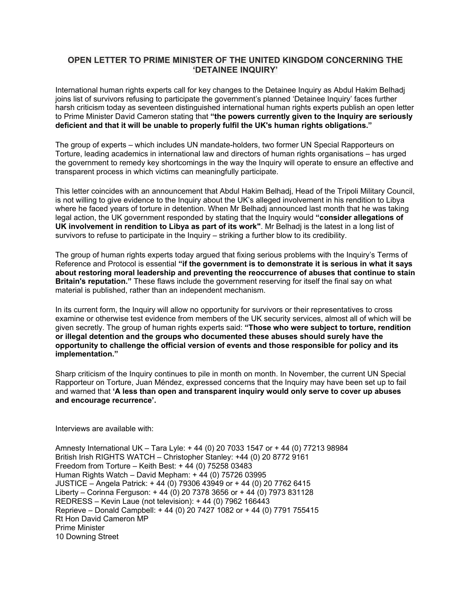## **OPEN LETTER TO PRIME MINISTER OF THE UNITED KINGDOM CONCERNING THE 'DETAINEE INQUIRY'**

International human rights experts call for key changes to the Detainee Inquiry as Abdul Hakim Belhadj joins list of survivors refusing to participate the government's planned 'Detainee Inquiry' faces further harsh criticism today as seventeen distinguished international human rights experts publish an open letter to Prime Minister David Cameron stating that **"the powers currently given to the Inquiry are seriously deficient and that it will be unable to properly fulfil the UK's human rights obligations."**

The group of experts – which includes UN mandate-holders, two former UN Special Rapporteurs on Torture, leading academics in international law and directors of human rights organisations – has urged the government to remedy key shortcomings in the way the Inquiry will operate to ensure an effective and transparent process in which victims can meaningfully participate.

This letter coincides with an announcement that Abdul Hakim Belhadj, Head of the Tripoli Military Council, is not willing to give evidence to the Inquiry about the UK's alleged involvement in his rendition to Libya where he faced years of torture in detention. When Mr Belhadj announced last month that he was taking legal action, the UK government responded by stating that the Inquiry would **"consider allegations of UK involvement in rendition to Libya as part of its work"**. Mr Belhadj is the latest in a long list of survivors to refuse to participate in the Inquiry – striking a further blow to its credibility.

The group of human rights experts today argued that fixing serious problems with the Inquiry's Terms of Reference and Protocol is essential **"if the government is to demonstrate it is serious in what it says about restoring moral leadership and preventing the reoccurrence of abuses that continue to stain Britain's reputation."** These flaws include the government reserving for itself the final say on what material is published, rather than an independent mechanism.

In its current form, the Inquiry will allow no opportunity for survivors or their representatives to cross examine or otherwise test evidence from members of the UK security services, almost all of which will be given secretly. The group of human rights experts said: **"Those who were subject to torture, rendition or illegal detention and the groups who documented these abuses should surely have the opportunity to challenge the official version of events and those responsible for policy and its implementation."**

Sharp criticism of the Inquiry continues to pile in month on month. In November, the current UN Special Rapporteur on Torture, Juan Méndez, expressed concerns that the Inquiry may have been set up to fail and warned that **'A less than open and transparent inquiry would only serve to cover up abuses and encourage recurrence'.**

Interviews are available with:

Amnesty International UK – Tara Lyle: + 44 (0) 20 7033 1547 or + 44 (0) 77213 98984 British Irish RIGHTS WATCH – Christopher Stanley: +44 (0) 20 8772 9161 Freedom from Torture – Keith Best: + 44 (0) 75258 03483 Human Rights Watch – David Mepham: + 44 (0) 75726 03995 JUSTICE – Angela Patrick: + 44 (0) 79306 43949 or + 44 (0) 20 7762 6415 Liberty – Corinna Ferguson: + 44 (0) 20 7378 3656 or + 44 (0) 7973 831128 REDRESS – Kevin Laue (not television): + 44 (0) 7962 166443 Reprieve – Donald Campbell: + 44 (0) 20 7427 1082 or + 44 (0) 7791 755415 Rt Hon David Cameron MP Prime Minister 10 Downing Street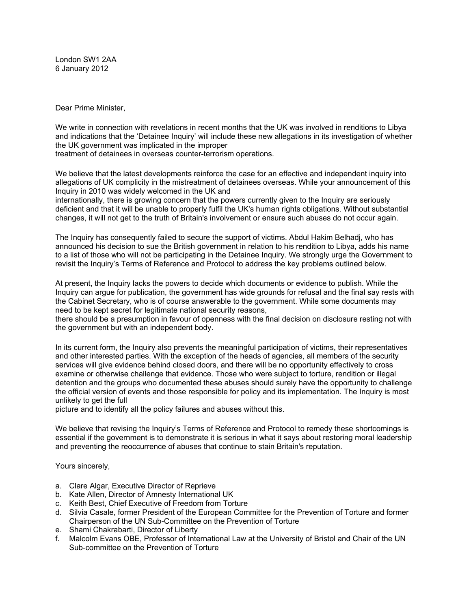London SW1 2AA 6 January 2012

Dear Prime Minister,

We write in connection with revelations in recent months that the UK was involved in renditions to Libya and indications that the 'Detainee Inquiry' will include these new allegations in its investigation of whether the UK government was implicated in the improper treatment of detainees in overseas counter-terrorism operations.

We believe that the latest developments reinforce the case for an effective and independent inquiry into allegations of UK complicity in the mistreatment of detainees overseas. While your announcement of this Inquiry in 2010 was widely welcomed in the UK and

internationally, there is growing concern that the powers currently given to the Inquiry are seriously deficient and that it will be unable to properly fulfil the UK's human rights obligations. Without substantial changes, it will not get to the truth of Britain's involvement or ensure such abuses do not occur again.

The Inquiry has consequently failed to secure the support of victims. Abdul Hakim Belhadj, who has announced his decision to sue the British government in relation to his rendition to Libya, adds his name to a list of those who will not be participating in the Detainee Inquiry. We strongly urge the Government to revisit the Inquiry's Terms of Reference and Protocol to address the key problems outlined below.

At present, the Inquiry lacks the powers to decide which documents or evidence to publish. While the Inquiry can argue for publication, the government has wide grounds for refusal and the final say rests with the Cabinet Secretary, who is of course answerable to the government. While some documents may need to be kept secret for legitimate national security reasons,

there should be a presumption in favour of openness with the final decision on disclosure resting not with the government but with an independent body.

In its current form, the Inquiry also prevents the meaningful participation of victims, their representatives and other interested parties. With the exception of the heads of agencies, all members of the security services will give evidence behind closed doors, and there will be no opportunity effectively to cross examine or otherwise challenge that evidence. Those who were subject to torture, rendition or illegal detention and the groups who documented these abuses should surely have the opportunity to challenge the official version of events and those responsible for policy and its implementation. The Inquiry is most unlikely to get the full

picture and to identify all the policy failures and abuses without this.

We believe that revising the Inquiry's Terms of Reference and Protocol to remedy these shortcomings is essential if the government is to demonstrate it is serious in what it says about restoring moral leadership and preventing the reoccurrence of abuses that continue to stain Britain's reputation.

Yours sincerely,

- a. Clare Algar, Executive Director of Reprieve
- b. Kate Allen, Director of Amnesty International UK
- c. Keith Best, Chief Executive of Freedom from Torture
- d. Silvia Casale, former President of the European Committee for the Prevention of Torture and former Chairperson of the UN Sub-Committee on the Prevention of Torture
- e. Shami Chakrabarti, Director of Liberty
- f. Malcolm Evans OBE, Professor of International Law at the University of Bristol and Chair of the UN Sub-committee on the Prevention of Torture